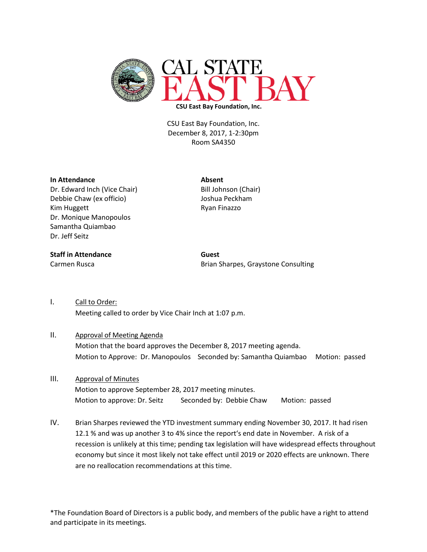

CSU East Bay Foundation, Inc. December 8, 2017, 1-2:30pm Room SA4350

## **In Attendance Absent**

Dr. Edward Inch (Vice Chair) Bill Johnson (Chair) Debbie Chaw (ex officio) Joshua Peckham Kim Huggett **Ryan Finazzo** Dr. Monique Manopoulos Samantha Quiambao Dr. Jeff Seitz

## **Staff in Attendance Guest**

Carmen Rusca **Brian Sharpes**, Graystone Consulting

I. Call to Order: Meeting called to order by Vice Chair Inch at 1:07 p.m.

## II. Approval of Meeting Agenda

Motion that the board approves the December 8, 2017 meeting agenda. Motion to Approve: Dr. Manopoulos Seconded by: Samantha Quiambao Motion: passed

- III. Approval of Minutes Motion to approve September 28, 2017 meeting minutes. Motion to approve: Dr. Seitz Seconded by: Debbie Chaw Motion: passed
- IV. Brian Sharpes reviewed the YTD investment summary ending November 30, 2017. It had risen 12.1 % and was up another 3 to 4% since the report's end date in November. A risk of a recession is unlikely at this time; pending tax legislation will have widespread effects throughout economy but since it most likely not take effect until 2019 or 2020 effects are unknown. There are no reallocation recommendations at this time.

\*The Foundation Board of Directors is a public body, and members of the public have a right to attend and participate in its meetings.